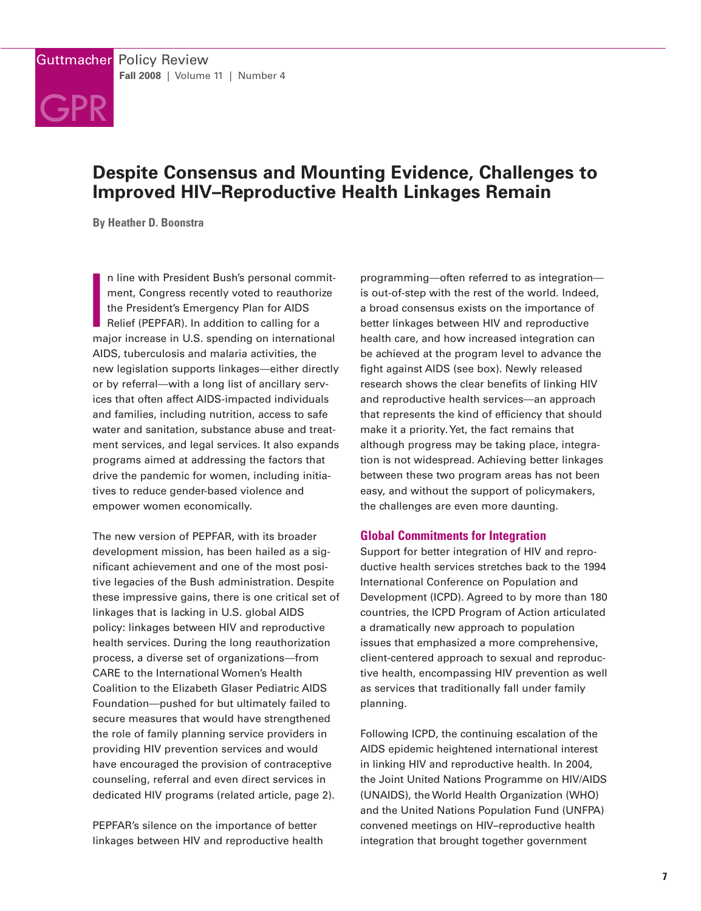

# **Despite Consensus and Mounting Evidence, Challenges to Improved HIV–Reproductive Health Linkages Remain**

**By Heather D. Boonstra**

**I**<br>I<br>ma n line with President Bush's personal commitment, Congress recently voted to reauthorize the President's Emergency Plan for AIDS Relief (PEPFAR). In addition to calling for a major increase in U.S. spending on international AIDS, tuberculosis and malaria activities, the new legislation supports linkages—either directly or by referral—with a long list of ancillary services that often affect AIDS-impacted individuals and families, including nutrition, access to safe water and sanitation, substance abuse and treatment services, and legal services. It also expands programs aimed at addressing the factors that drive the pandemic for women, including initiatives to reduce gender-based violence and empower women economically.

The new version of PEPFAR, with its broader development mission, has been hailed as a significant achievement and one of the most positive legacies of the Bush administration. Despite these impressive gains, there is one critical set of linkages that is lacking in U.S. global AIDS policy: linkages between HIV and reproductive health services. During the long reauthorization process, a diverse set of organizations—from CARE to the International Women's Health Coalition to the Elizabeth Glaser Pediatric AIDS Foundation—pushed for but ultimately failed to secure measures that would have strengthened the role of family planning service providers in providing HIV prevention services and would have encouraged the provision of contraceptive counseling, referral and even direct services in dedicated HIV programs (related article, page 2).

PEPFAR's silence on the importance of better linkages between HIV and reproductive health

programming—often referred to as integration is out-of-step with the rest of the world. Indeed, a broad consensus exists on the importance of better linkages between HIV and reproductive health care, and how increased integration can be achieved at the program level to advance the fight against AIDS (see box). Newly released research shows the clear benefits of linking HIV and reproductive health services—an approach that represents the kind of efficiency that should make it a priority.Yet, the fact remains that although progress may be taking place, integration is not widespread. Achieving better linkages between these two program areas has not been easy, and without the support of policymakers, the challenges are even more daunting.

## **Global Commitments for Integration**

Support for better integration of HIV and reproductive health services stretches back to the 1994 International Conference on Population and Development (ICPD). Agreed to by more than 180 countries, the ICPD Program of Action articulated a dramatically new approach to population issues that emphasized a more comprehensive, client-centered approach to sexual and reproductive health, encompassing HIV prevention as well as services that traditionally fall under family planning.

Following ICPD, the continuing escalation of the AIDS epidemic heightened international interest in linking HIV and reproductive health. In 2004, the Joint United Nations Programme on HIV/AIDS (UNAIDS), the World Health Organization (WHO) and the United Nations Population Fund (UNFPA) convened meetings on HIV–reproductive health integration that brought together government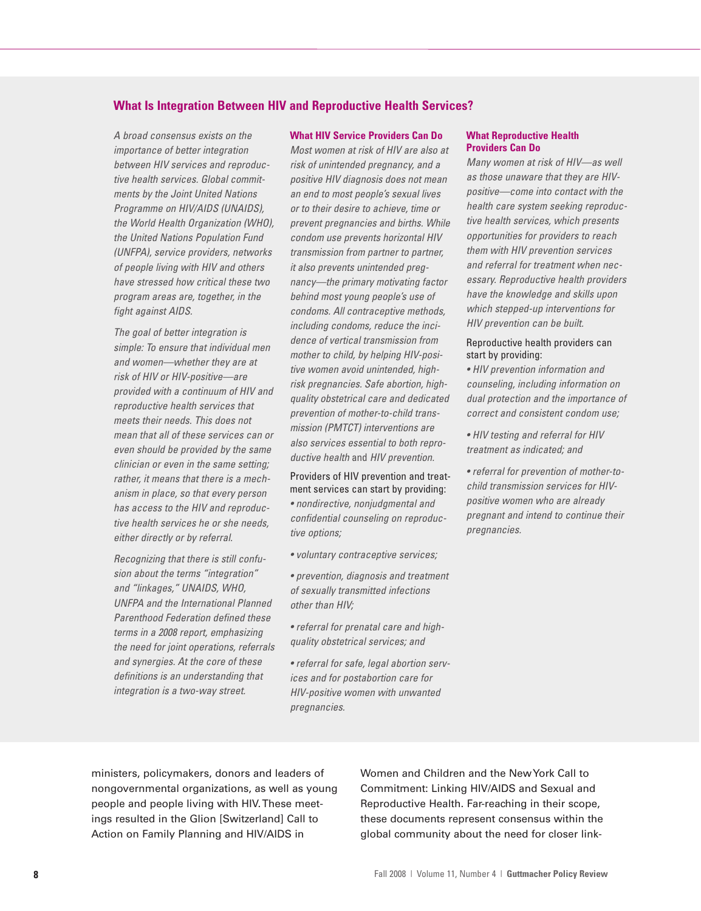# **What Is Integration Between HIV and Reproductive Health Services?**

*A broad consensus exists on the importance of better integration between HIV services and reproductive health services. Global commitments by the Joint United Nations Programme on HIV/AIDS (UNAIDS), the World Health Organization (WHO), the United Nations Population Fund (UNFPA), service providers, networks of people living with HIV and others have stressed how critical these two program areas are, together, in the fight against AIDS.*

*The goal of better integration is simple: To ensure that individual men and women—whether they are at risk of HIV or HIV-positive—are provided with a continuum of HIV and reproductive health services that meets their needs. This does not mean that all of these services can or even should be provided by the same clinician or even in the same setting; rather, it means that there is a mechanism in place, so that every person has access to the HIV and reproductive health services he or she needs, either directly or by referral.*

*Recognizing that there is still confusion about the terms "integration" and "linkages," UNAIDS, WHO, UNFPA and the International Planned Parenthood Federation defined these terms in a 2008 report, emphasizing the need for joint operations, referrals and synergies. At the core of these definitions is an understanding that integration is a two-way street.*

## **What HIV Service Providers Can Do**

*Most women at risk of HIV are also at risk of unintended pregnancy, and a positive HIV diagnosis does not mean an end to most people's sexual lives or to their desire to achieve, time or prevent pregnancies and births. While condom use prevents horizontal HIV transmission from partner to partner, it also prevents unintended pregnancy—the primary motivating factor behind most young people's use of condoms. All contraceptive methods, including condoms, reduce the incidence of vertical transmission from mother to child, by helping HIV-positive women avoid unintended, highrisk pregnancies. Safe abortion, highquality obstetrical care and dedicated prevention of mother-to-child transmission (PMTCT) interventions are also services essential to both reproductive health* and *HIV prevention.*

Providers of HIV prevention and treatment services can start by providing: *• nondirective, nonjudgmental and confidential counseling on reproductive options;*

*• voluntary contraceptive services;*

*• prevention, diagnosis and treatment of sexually transmitted infections other than HIV;*

*• referral for prenatal care and highquality obstetrical services; and*

*• referral for safe, legal abortion services and for postabortion care for HIV-positive women with unwanted pregnancies.*

#### **What Reproductive Health Providers Can Do**

*Many women at risk of HIV—as well as those unaware that they are HIVpositive—come into contact with the health care system seeking reproductive health services, which presents opportunities for providers to reach them with HIV prevention services and referral for treatment when necessary. Reproductive health providers have the knowledge and skills upon which stepped-up interventions for HIV prevention can be built.*

#### Reproductive health providers can start by providing:

*• HIV prevention information and counseling, including information on dual protection and the importance of correct and consistent condom use;*

*• HIV testing and referral for HIV treatment as indicated; and*

*• referral for prevention of mother-tochild transmission services for HIVpositive women who are already pregnant and intend to continue their pregnancies.*

ministers, policymakers, donors and leaders of nongovernmental organizations, as well as young people and people living with HIV.These meetings resulted in the Glion [Switzerland] Call to Action on Family Planning and HIV/AIDS in

Women and Children and the NewYork Call to Commitment: Linking HIV/AIDS and Sexual and Reproductive Health. Far-reaching in their scope, these documents represent consensus within the global community about the need for closer link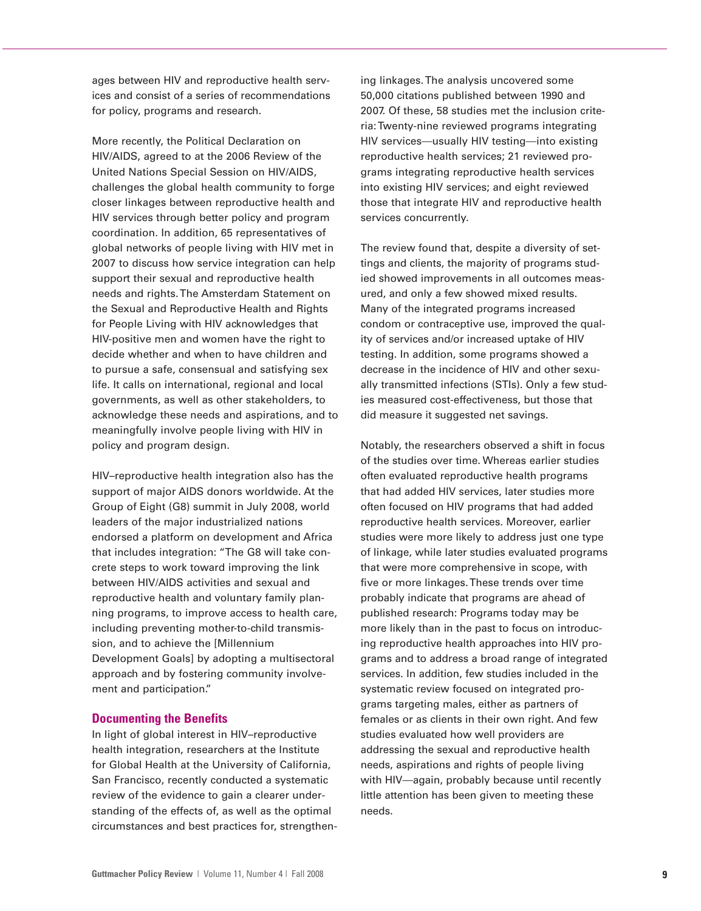ages between HIV and reproductive health services and consist of a series of recommendations for policy, programs and research.

More recently, the Political Declaration on HIV/AIDS, agreed to at the 2006 Review of the United Nations Special Session on HIV/AIDS, challenges the global health community to forge closer linkages between reproductive health and HIV services through better policy and program coordination. In addition, 65 representatives of global networks of people living with HIV met in 2007 to discuss how service integration can help support their sexual and reproductive health needs and rights.The Amsterdam Statement on the Sexual and Reproductive Health and Rights for People Living with HIV acknowledges that HIV-positive men and women have the right to decide whether and when to have children and to pursue a safe, consensual and satisfying sex life. It calls on international, regional and local governments, as well as other stakeholders, to acknowledge these needs and aspirations, and to meaningfully involve people living with HIV in policy and program design.

HIV–reproductive health integration also has the support of major AIDS donors worldwide. At the Group of Eight (G8) summit in July 2008, world leaders of the major industrialized nations endorsed a platform on development and Africa that includes integration: "The G8 will take concrete steps to work toward improving the link between HIV/AIDS activities and sexual and reproductive health and voluntary family planning programs, to improve access to health care, including preventing mother-to-child transmission, and to achieve the [Millennium Development Goals] by adopting a multisectoral approach and by fostering community involvement and participation."

# **Documenting the Benefits**

In light of global interest in HIV–reproductive health integration, researchers at the Institute for Global Health at the University of California, San Francisco, recently conducted a systematic review of the evidence to gain a clearer understanding of the effects of, as well as the optimal circumstances and best practices for, strengthening linkages.The analysis uncovered some 50,000 citations published between 1990 and 2007. Of these, 58 studies met the inclusion criteria:Twenty-nine reviewed programs integrating HIV services—usually HIV testing—into existing reproductive health services; 21 reviewed programs integrating reproductive health services into existing HIV services; and eight reviewed those that integrate HIV and reproductive health services concurrently.

The review found that, despite a diversity of settings and clients, the majority of programs studied showed improvements in all outcomes measured, and only a few showed mixed results. Many of the integrated programs increased condom or contraceptive use, improved the quality of services and/or increased uptake of HIV testing. In addition, some programs showed a decrease in the incidence of HIV and other sexually transmitted infections (STIs). Only a few studies measured cost-effectiveness, but those that did measure it suggested net savings.

Notably, the researchers observed a shift in focus of the studies over time. Whereas earlier studies often evaluated reproductive health programs that had added HIV services, later studies more often focused on HIV programs that had added reproductive health services. Moreover, earlier studies were more likely to address just one type of linkage, while later studies evaluated programs that were more comprehensive in scope, with five or more linkages.These trends over time probably indicate that programs are ahead of published research: Programs today may be more likely than in the past to focus on introducing reproductive health approaches into HIV programs and to address a broad range of integrated services. In addition, few studies included in the systematic review focused on integrated programs targeting males, either as partners of females or as clients in their own right. And few studies evaluated how well providers are addressing the sexual and reproductive health needs, aspirations and rights of people living with HIV—again, probably because until recently little attention has been given to meeting these needs.